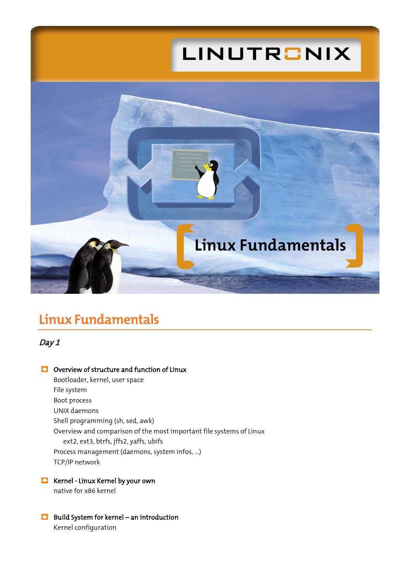

# **Linux Fundamentals**

Day 1

### **C** Overview of structure and function of Linux

Bootloader, kernel, user space File system Boot process UNIX daemons Shell programming (sh, sed, awk) Overview and comparison of the most important file systems of Linux ext2, ext3, btrfs, jffs2, yaffs, ubifs Process management (daemons, system infos, ...) TCP/IP network

### **Kernel - Linux Kernel by your own**

native for x86 kernel

**B** Build System for kernel – an introduction Kernel configuration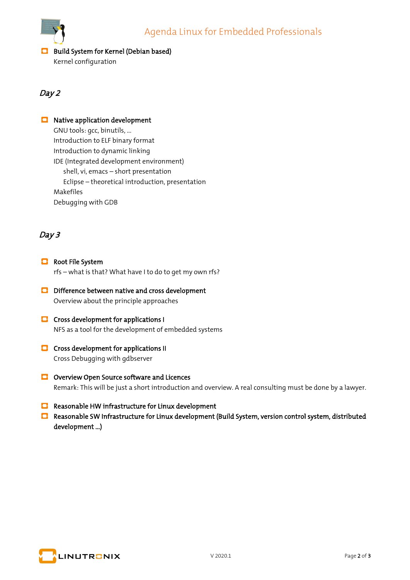

## **Build System for Kernel (Debian based)**

Kernel configuration

## Day 2

## **B** Native application development

GNU tools: gcc, binutils, ... Introduction to ELF binary format Introduction to dynamic linking IDE (Integrated development environment) shell, vi, emacs – short presentation Eclipse – theoretical introduction, presentation Makefiles Debugging with GDB

## Day 3

- **B** Root File System rfs – what is that? What have I to do to get my own rfs?
- **D** Difference between native and cross development Overview about the principle approaches
- **C** Cross development for applications I NFS as a tool for the development of embedded systems
- **C** Cross development for applications II Cross Debugging with gdbserver
- **O** Overview Open Source software and Licences Remark: This will be just a short introduction and overview. A real consulting must be done by a lawyer.
- **Reasonable HW infrastructure for Linux development**
- **Reasonable SW Infrastructure for Linux development (Build System, version control system, distributed** development ...)